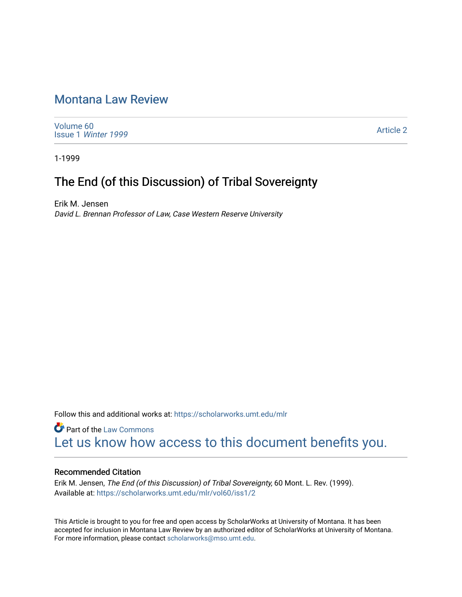## [Montana Law Review](https://scholarworks.umt.edu/mlr)

[Volume 60](https://scholarworks.umt.edu/mlr/vol60) Issue 1 [Winter 1999](https://scholarworks.umt.edu/mlr/vol60/iss1) 

[Article 2](https://scholarworks.umt.edu/mlr/vol60/iss1/2) 

1-1999

# The End (of this Discussion) of Tribal Sovereignty

Erik M. Jensen David L. Brennan Professor of Law, Case Western Reserve University

Follow this and additional works at: [https://scholarworks.umt.edu/mlr](https://scholarworks.umt.edu/mlr?utm_source=scholarworks.umt.edu%2Fmlr%2Fvol60%2Fiss1%2F2&utm_medium=PDF&utm_campaign=PDFCoverPages) 

**Part of the [Law Commons](http://network.bepress.com/hgg/discipline/578?utm_source=scholarworks.umt.edu%2Fmlr%2Fvol60%2Fiss1%2F2&utm_medium=PDF&utm_campaign=PDFCoverPages)** [Let us know how access to this document benefits you.](https://goo.gl/forms/s2rGfXOLzz71qgsB2) 

#### Recommended Citation

Erik M. Jensen, The End (of this Discussion) of Tribal Sovereignty, 60 Mont. L. Rev. (1999). Available at: [https://scholarworks.umt.edu/mlr/vol60/iss1/2](https://scholarworks.umt.edu/mlr/vol60/iss1/2?utm_source=scholarworks.umt.edu%2Fmlr%2Fvol60%2Fiss1%2F2&utm_medium=PDF&utm_campaign=PDFCoverPages) 

This Article is brought to you for free and open access by ScholarWorks at University of Montana. It has been accepted for inclusion in Montana Law Review by an authorized editor of ScholarWorks at University of Montana. For more information, please contact [scholarworks@mso.umt.edu.](mailto:scholarworks@mso.umt.edu)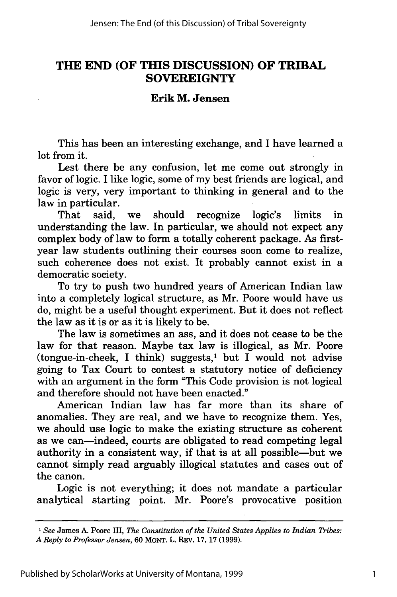### **THE END (OF THIS DISCUSSION) OF TRIBAL SOVEREIGNTY**

### **Erik M. Jensen**

This has been an interesting exchange, and I have learned a lot from it.

Lest there be any confusion, let me come out strongly in favor of logic. I like logic, some of my best friends are logical, and logic is very, very important to thinking in general and to the law in particular.

That said, we should recognize logic's limits in understanding the law. In particular, we should not expect any complex body of law to form a totally coherent package. As firstyear law students outlining their courses soon come to realize, such coherence does not exist. It probably cannot exist in a democratic society.

To try to push two hundred years of American Indian law into a completely logical structure, as Mr. Poore would have us do, might be a useful thought experiment. But it does not reflect the law as it is or as it is likely to be.

The law is sometimes an ass, and it does not cease to be the law for that reason. Maybe tax law is illogical, as Mr. Poore  $(tongue-in-check, I think) suggests<sub>i</sub> but I would not advise$ going to Tax Court to contest a statutory notice of deficiency with an argument in the form "This Code provision is not logical and therefore should not have been enacted."

American Indian law has far more than its share of anomalies. They are real, and we have to recognize them. Yes, we should use logic to make the existing structure as coherent as we can-indeed, courts are obligated to read competing legal authority in a consistent way, if that is at all possible-but we cannot simply read arguably illogical statutes and cases out of the canon.

Logic is not everything; it does not mandate a particular analytical starting point. Mr. Poore's provocative position

**<sup>1</sup>** *See* James A. Poore III, *The Constitution of the United States Applies to Indian Tribes: A Reply to Professor Jensen,* 60 MoNT. L. REv. 17, 17 (1999).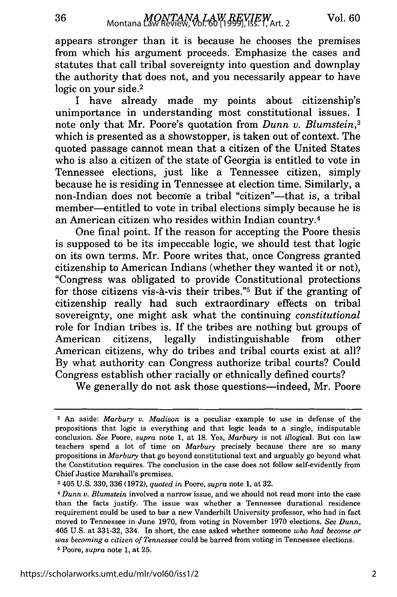appears stronger than it is because he chooses the premises from which his argument proceeds. Emphasize the cases and statutes that call tribal sovereignty into question and downplay the authority that does not, and you necessarily appear to have logic on your side.<sup>2</sup>

I have already made my points about citizenship's unimportance in understanding most constitutional issues. I note only that Mr. Poore's quotation from *Dunn v. Blumstein,3* which is presented as a showstopper, is taken out of context. The quoted passage cannot mean that a citizen of the United States who is also a citizen of the state of Georgia is entitled to vote in Tennessee elections, just like a Tennessee citizen, simply because he is residing in Tennessee at election time. Similarly, a non-Indian does not become a tribal "citizen"—that is, a tribal member-entitled to vote in tribal elections simply because he is an American citizen who resides within Indian country.4

One final point. If the reason for accepting the Poore thesis is supposed to be its impeccable logic, we should test that logic on its own terms. Mr. Poore writes that, once Congress granted citizenship to American Indians (whether they wanted it or not), "Congress was obligated to provide Constitutional protections for those citizens vis-à-vis their tribes."<sup>5</sup> But if the granting of citizenship really had such extraordinary effects on tribal sovereignty, one might ask what the continuing *constitutional* role for Indian tribes is. If the tribes are nothing but groups of American citizens, legally indistinguishable from other American citizens, why do tribes and tribal courts exist at all? By what authority can Congress authorize tribal courts? Could Congress establish other racially or ethnically defined courts?

We generally do not ask those questions-indeed, Mr. Poore

<sup>2</sup>An aside: *Marbury v. Madison* is a peculiar example to use in defense of the propositions that logic is everything and that logic leads to a single, indisputable conclusion. *See* Poore, *supra* note 1, at 18. Yes, *Marbury* is not illogical. But con law teachers spend a lot of time on *Marbury* precisely because there are so many propositions in *Marbury* that go beyond constitutional text and arguably go beyond what the Constitution requires. The conclusion in the case does not follow self-evidently from Chief Justice Marshall's premises.

**<sup>3</sup>**405 U.S. 330, 336 (1972), *quoted in* Poore, *supra* note 1, at 32.

**<sup>4</sup>***Dunn v. Blumstein* involved a narrow issue, and we should not read more into the case than the facts justify. The issue was whether a Tennessee durational residence requirement could be used to bar a new Vanderbilt University professor, who had in fact moved to Tennessee in June 1970, from voting in November 1970 elections. *See Dunn,* 405 U.S. at 331-32, 334. In short, the case asked whether someone *who had become or was becoming a citizen of Tennessee* could be barred from voting in Tennessee elections. **5** Poore, *supra* note 1, at 25.